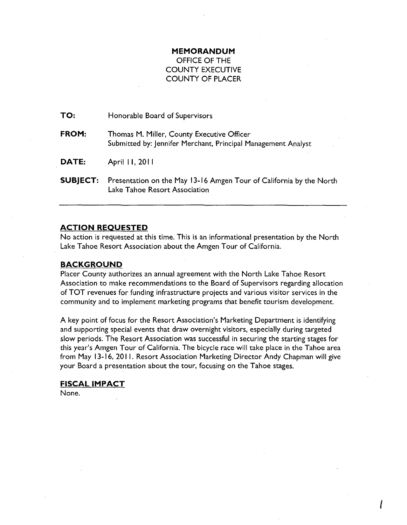# **MEMORANDUM**

## OFFICE OF THE COUNTY EXECUTIVE COUNTY OF PLACER

| TO:             | Honorable Board of Supervisors                                                                              |
|-----------------|-------------------------------------------------------------------------------------------------------------|
| FROM:           | Thomas M. Miller, County Executive Officer<br>Submitted by: Jennifer Merchant, Principal Management Analyst |
| DATE:           | April 11, 2011                                                                                              |
| <b>SUBJECT:</b> | Presentation on the May 13-16 Amgen Tour of California by the North<br>Lake Tahoe Resort Association        |

#### **ACTION REQUESTED**

No action is requested at this time. This is an informational presentation by the North Lake Tahoe Resort Association about the Amgen Tour of California.

#### **BACKGROUND**

Placer County authorizes an annual agreement with the North Lake Tahoe Resort Association to make recommendations to the Board of Supervisors regarding allocation of TOT revenues for funding infrastructure projects and various visitor services in the community and to implement marketing programs that benefit tourism development.

A key point of focus for the Resort Association's Marketing Department is identifying and supporting special events that draw overnight visitors, especially during targeted slow periods. The Resort Association was successful in securing the starting stages for this year's Amgen Tour of California. The bicycle race will take place in the Tahoe area from May 13-16, 2011. Resort Association Marketing Director Andy Chapman will give your Board a presentation about the tour, focusing on the Tahoe stages.

f

### **FISCAL IMPACT**  None.